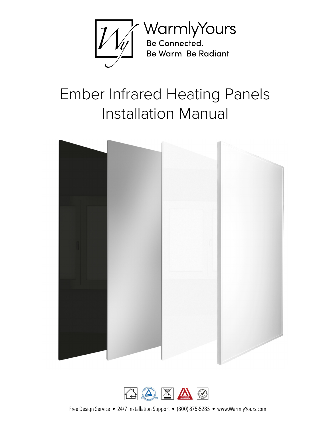

# Ember Infrared Heating Panels Installation Manual





Free Design Service • 24/7 Installation Support • (800) 875-5285 • www.WarmlyYours.com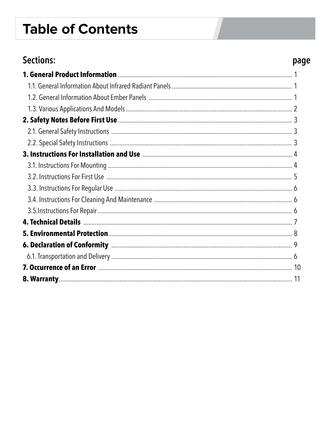# **Table of Contents**

### Sections:

### page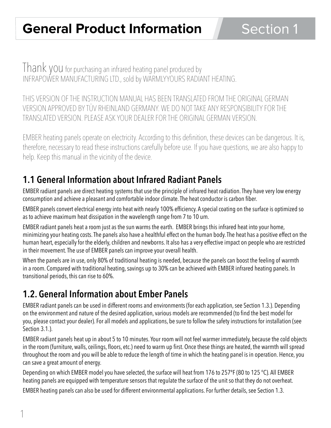Thank you for purchasing an infrared heating panel produced by INFRAPOWER MANUFACTURING LTD., sold by WARMLYYOURS RADIANT HEATING.

THIS VERSION OF THE INSTRUCTION MANUAL HAS BEEN TRANSLATED FROM THE ORIGINAL GERMAN VERSION APPROVED BY TÜV RHEINLAND GERMANY. WE DO NOT TAKE ANY RESPONSIBILITY FOR THE TRANSLATED VERSION. PLEASE ASK YOUR DEALER FOR THE ORIGINAL GERMAN VERSION.

EMBER heating panels operate on electricity. According to this definition, these devices can be dangerous. It is, therefore, necessary to read these instructions carefully before use. If you have questions, we are also happy to help. Keep this manual in the vicinity of the device.

### **1.1 General Information about Infrared Radiant Panels**

EMBER radiant panels are direct heating systems that use the principle of infrared heat radiation. They have very low energy consumption and achieve a pleasant and comfortable indoor climate. The heat conductor is carbon fiber.

EMBER panels convert electrical energy into heat with nearly 100% efficiency. A special coating on the surface is optimized so as to achieve maximum heat dissipation in the wavelength range from 7 to 10 um.

EMBER radiant panels heat a room just as the sun warms the earth. EMBER brings this infrared heat into your home, minimizing your heating costs. The panels also have a healthful effect on the human body. The heat has a positive effect on the human heart, especially for the elderly, children and newborns. It also has a very effective impact on people who are restricted in their movement. The use of EMBER panels can improve your overall health.

When the panels are in use, only 80% of traditional heating is needed, because the panels can boost the feeling of warmth in a room. Compared with traditional heating, savings up to 30% can be achieved with EMBER infrared heating panels. In transitional periods, this can rise to 60%.

## **1.2. General Information about Ember Panels**

EMBER radiant panels can be used in different rooms and environments (for each application, see Section 1.3.). Depending on the environment and nature of the desired application, various models are recommended (to find the best model for you, please contact your dealer). For all models and applications, be sure to follow the safety instructions for installation (see Section 3.1.).

EMBER radiant panels heat up in about 5 to 10 minutes. Your room will not feel warmer immediately, because the cold objects in the room (furniture, walls, ceilings, floors, etc.) need to warm up first. Once these things are heated, the warmth will spread throughout the room and you will be able to reduce the length of time in which the heating panel is in operation. Hence, you can save a great amount of energy.

Depending on which EMBER model you have selected, the surface will heat from 176 to 257ºF (80 to 125 °C). All EMBER heating panels are equipped with temperature sensors that regulate the surface of the unit so that they do not overheat.

EMBER heating panels can also be used for different environmental applications. For further details, see Section 1.3.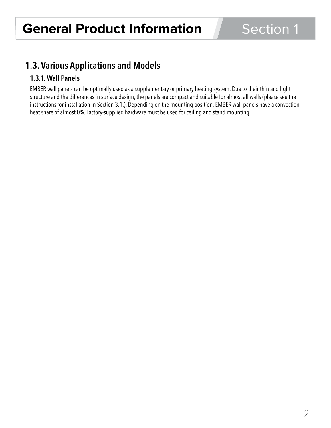### **1.3. Various Applications and Models**

### **1.3.1. Wall Panels**

EMBER wall panels can be optimally used as a supplementary or primary heating system. Due to their thin and light structure and the differences in surface design, the panels are compact and suitable for almost all walls (please see the instructions for installation in Section 3.1.). Depending on the mounting position, EMBER wall panels have a convection heat share of almost 0%. Factory-supplied hardware must be used for ceiling and stand mounting.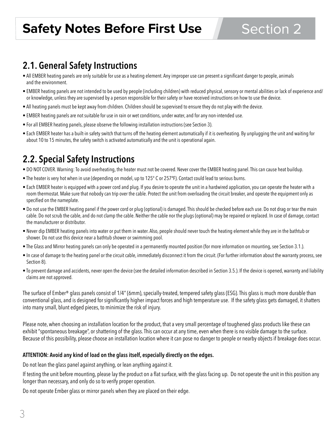### **2.1. General Safety Instructions**

- All EMBER heating panels are only suitable for use as a heating element. Any improper use can present a significant danger to people, animals and the environment.
- EMBER heating panels are not intended to be used by people (including children) with reduced physical, sensory or mental abilities or lack of experience and/ or knowledge, unless they are supervised by a person responsible for their safety or have received instructions on how to use the device.
- All heating panels must be kept away from children. Children should be supervised to ensure they do not play with the device.
- EMBER heating panels are not suitable for use in rain or wet conditions, under water, and for any non-intended use.
- For all EMBER heating panels, please observe the following installation instructions (see Section 3).
- Each EMBER heater has a built-in safety switch that turns off the heating element automatically if it is overheating. By unplugging the unit and waiting for about 10 to 15 minutes, the safety switch is activated automatically and the unit is operational again.

### **2.2. Special Safety Instructions**

- DO NOT COVER. Warning: To avoid overheating, the heater must not be covered. Never cover the EMBER heating panel. This can cause heat buildup.
- The heater is very hot when in use (depending on model, up to 125° C or 257ºF). Contact could lead to serious burns.
- Each EMBER heater is equipped with a power cord and plug. If you desire to operate the unit in a hardwired application, you can operate the heater with a room thermostat. Make sure that nobody can trip over the cable. Protect the unit from overloading the circuit breaker, and operate the equipment only as specified on the nameplate.
- Do not use the EMBER heating panel if the power cord or plug (optional) is damaged. This should be checked before each use. Do not drag or tear the main cable. Do not scrub the cable, and do not clamp the cable. Neither the cable nor the plugs (optional) may be repaired or replaced. In case of damage, contact the manufacturer or distributor.
- Never dip EMBER heating panels into water or put them in water. Also, people should never touch the heating element while they are in the bathtub or shower. Do not use this device near a bathtub shower or swimming pool.
- The Glass and Mirror heating panels can only be operated in a permanently mounted position (for more information on mounting, see Section 3.1.).
- In case of damage to the heating panel or the circuit cable, immediately disconnect it from the circuit. (For further information about the warranty process, see Section 8).
- To prevent damage and accidents, never open the device (see the detailed information described in Section 3.5.). If the device is opened, warranty and liability claims are not approved.

The surface of Ember® glass panels consist of 1/4" (6mm), specially-treated, tempered safety glass (ESG). This glass is much more durable than conventional glass, and is designed for significantly higher impact forces and high temperature use. If the safety glass gets damaged, it shatters into many small, blunt edged pieces, to minimize the risk of injury.

Please note, when choosing an installation location for the product, that a very small percentage of toughened glass products like these can exhibit "spontaneous breakage", or shattering of the glass. This can occur at any time, even when there is no visible damage to the surface. Because of this possibility, please choose an installation location where it can pose no danger to people or nearby objects if breakage does occur.

#### **ATTENTION: Avoid any kind of load on the glass itself, especially directly on the edges.**

Do not lean the glass panel against anything, or lean anything against it.

If testing the unit before mounting, please lay the product on a flat surface, with the glass facing up. Do not operate the unit in this position any longer than necessary, and only do so to verify proper operation.

Do not operate Ember glass or mirror panels when they are placed on their edge.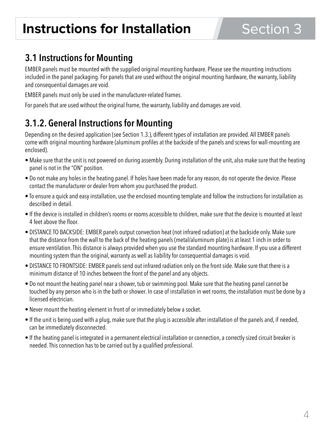# **Instructions for Installation**

### **3.1 Instructions for Mounting**

EMBER panels must be mounted with the supplied original mounting hardware. Please see the mounting instructions included in the panel packaging. For panels that are used without the original mounting hardware, the warranty, liability and consequential damages are void.

EMBER panels must only be used in the manufacturer-related frames.

For panels that are used without the original frame, the warranty, liability and damages are void.

### **3.1.2. General Instructions for Mounting**

Depending on the desired application (see Section 1.3.), different types of installation are provided. All EMBER panels come with original mounting hardware (aluminum profiles at the backside of the panels and screws for wall-mounting are enclosed).

- Make sure that the unit is not powered on during assembly. During installation of the unit, also make sure that the heating panel is not in the "ON" position.
- Do not make any holes in the heating panel. If holes have been made for any reason, do not operate the device. Please contact the manufacturer or dealer from whom you purchased the product.
- To ensure a quick and easy installation, use the enclosed mounting template and follow the instructions for installation as described in detail.
- If the device is installed in children's rooms or rooms accessible to children, make sure that the device is mounted at least 4 feet above the floor.
- DISTANCE TO BACKSIDE: EMBER panels output convection heat (not infrared radiation) at the backside only. Make sure that the distance from the wall to the back of the heating panels (metal/aluminum plate) is at least 1 inch in order to ensure ventilation. This distance is always provided when you use the standard mounting hardware. If you use a different mounting system than the original, warranty as well as liability for consequential damages is void.
- DISTANCE TO FRONTSIDE: EMBER panels send out infrared radiation only on the front side. Make sure that there is a minimum distance of 10 inches between the front of the panel and any objects.
- Do not mount the heating panel near a shower, tub or swimming pool. Make sure that the heating panel cannot be touched by any person who is in the bath or shower. In case of installation in wet rooms, the installation must be done by a licensed electrician.
- Never mount the heating element in front of or immediately below a socket.
- If the unit is being used with a plug, make sure that the plug is accessible after installation of the panels and, if needed, can be immediately disconnected.
- If the heating panel is integrated in a permanent electrical installation or connection, a correctly sized circuit breaker is needed. This connection has to be carried out by a qualified professional.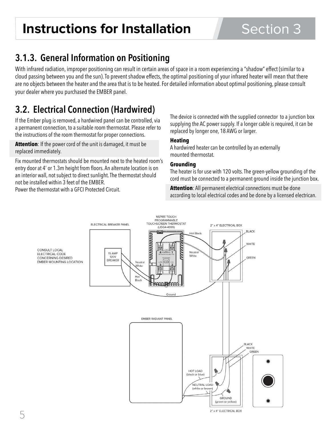# **Instructions for Installation** Section 3

### **3.1.3. General Information on Positioning**

With infrared radiation, improper positioning can result in certain areas of space in a room experiencing a "shadow" effect (similar to a cloud passing between you and the sun). To prevent shadow effects, the optimal positioning of your infrared heater will mean that there are no objects between the heater and the area that is to be heated. For detailed information about optimal positioning, please consult your dealer where you purchased the EMBER panel.

### **3.2. Electrical Connection (Hardwired)**

If the Ember plug is removed, a hardwired panel can be controlled, via a permanent connection, to a suitable room thermostat. Please refer to the instructions of the room thermostat for proper connections.

**Attention**: If the power cord of the unit is damaged, it must be replaced immediately.

Fix mounted thermostats should be mounted next to the heated room's entry door at 4' or 1.3m height from floors. An alternate location is on an interior wall, not subject to direct sunlight. The thermostat should not be installed within 3 feet of the EMBER.

Power the thermostat with a GFCI Protected Circuit.

The device is connected with the supplied connector to a junction box supplying the AC power supply. If a longer cable is required, it can be replaced by longer one, 18 AWG or larger.

#### **Heating**

A hardwired heater can be controlled by an externally mounted thermostat.

#### **Grounding**

The heater is for use with 120 volts. The green-yellow grounding of the cord must be connected to a permanent ground inside the junction box.

**Attention**: All permanent electrical connections must be done according to local electrical codes and be done by a licensed electrican.

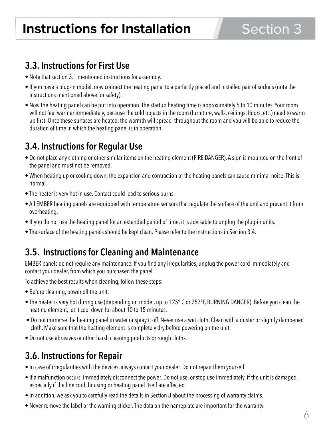### **3.3. Instructions for First Use**

- Note that section 3.1 mentioned instructions for assembly.
- If you have a plug-in model, now connect the heating panel to a perfectly placed and installed pair of sockets (note the instructions mentioned above for safety).
- Now the heating panel can be put into operation. The startup heating time is approximately 5 to 10 minutes. Your room will not feel warmer immediately, because the cold objects in the room (furniture, walls, ceilings, floors, etc.) need to warm up first. Once these surfaces are heated, the warmth will spread throughout the room and you will be able to reduce the duration of time in which the heating panel is in operation.

### **3.4. Instructions for Regular Use**

- Do not place any clothing or other similar items on the heating element (FIRE DANGER). A sign is mounted on the front of the panel and must not be removed.
- When heating up or cooling down, the expansion and contraction of the heating panels can cause minimal noise. This is normal.
- The heater is very hot in use. Contact could lead to serious burns.
- All EMBER heating panels are equipped with temperature sensors that regulate the surface of the unit and prevent it from overheating.
- If you do not use the heating panel for an extended period of time, it is advisable to unplug the plug-in units.
- The surface of the heating panels should be kept clean. Please refer to the instructions in Section 3.4.

### **3.5. Instructions for Cleaning and Maintenance**

EMBER panels do not require any maintenance. If you find any irregularities, unplug the power cord immediately and contact your dealer, from which you purchased the panel.

To achieve the best results when cleaning, follow these steps:

- Before cleaning, power off the unit.
- The heater is very hot during use (depending on model, up to 125° C or 257ºF, BURNING DANGER). Before you clean the heating element, let it cool down for about 10 to 15 minutes.
- Do not immerse the heating panel in water or spray it off. Never use a wet cloth. Clean with a duster or slightly dampened cloth. Make sure that the heating element is completely dry before powering on the unit.
- Do not use abrasives or other harsh cleaning products or rough cloths.

## **3.6. Instructions for Repair**

- In case of irregularities with the devices, always contact your dealer. Do not repair them yourself.
- If a malfunction occurs, immediately disconnect the power. Do not use, or stop use immediately, if the unit is damaged, especially if the line cord, housing or heating panel itself are affected.
- In addition, we ask you to carefully read the details in Section 8 about the processing of warranty claims.
- Never remove the label or the warning sticker. The data on the nameplate are important for the warranty.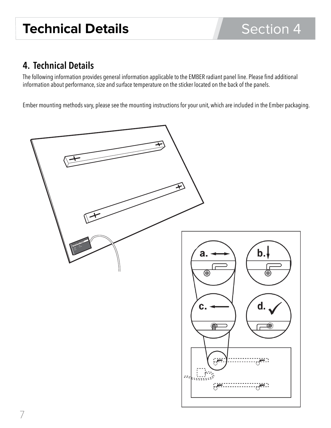### **4. Technical Details**

The following information provides general information applicable to the EMBER radiant panel line. Please find additional information about performance, size and surface temperature on the sticker located on the back of the panels.

Ember mounting methods vary, please see the mounting instructions for your unit, which are included in the Ember packaging.

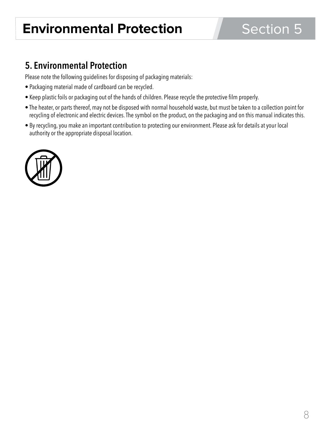# **Environmental Protection**

# Section 5

### **5. Environmental Protection**

Please note the following guidelines for disposing of packaging materials:

- Packaging material made of cardboard can be recycled.
- Keep plastic foils or packaging out of the hands of children. Please recycle the protective film properly.
- The heater, or parts thereof, may not be disposed with normal household waste, but must be taken to a collection point for recycling of electronic and electric devices. The symbol on the product, on the packaging and on this manual indicates this.
- By recycling, you make an important contribution to protecting our environment. Please ask for details at your local authority or the appropriate disposal location.

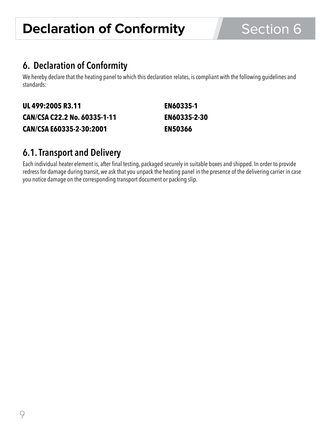# **Declaration of Conformity** Section 6

### **6. Declaration of Conformity**

We hereby declare that the heating panel to which this declaration relates, is compliant with the following guidelines and standards:

| UL 499:2005 R3.11            | <b>EN60335-1</b>    |
|------------------------------|---------------------|
| CAN/CSA C22.2 No. 60335-1-11 | <b>EN60335-2-30</b> |
| CAN/CSA E60335-2-30:2001     | <b>EN50366</b>      |

### **6.1. Transport and Delivery**

Each individual heater element is, after final testing, packaged securely in suitable boxes and shipped. In order to provide redress for damage during transit, we ask that you unpack the heating panel in the presence of the delivering carrier in case you notice damage on the corresponding transport document or packing slip.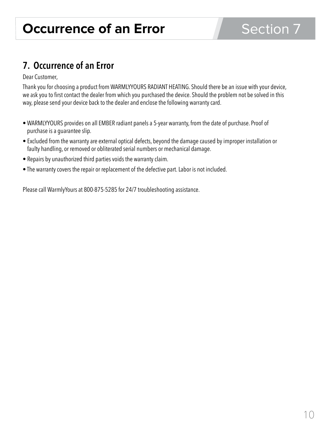### **7. Occurrence of an Error**

Dear Customer,

Thank you for choosing a product from WARMLYYOURS RADIANT HEATING. Should there be an issue with your device, we ask you to first contact the dealer from which you purchased the device. Should the problem not be solved in this way, please send your device back to the dealer and enclose the following warranty card.

- WARMLYYOURS provides on all EMBER radiant panels a 5-year warranty, from the date of purchase. Proof of purchase is a guarantee slip.
- Excluded from the warranty are external optical defects, beyond the damage caused by improper installation or faulty handling, or removed or obliterated serial numbers or mechanical damage.
- Repairs by unauthorized third parties voids the warranty claim.
- The warranty covers the repair or replacement of the defective part. Labor is not included.

Please call WarmlyYours at 800-875-5285 for 24/7 troubleshooting assistance.